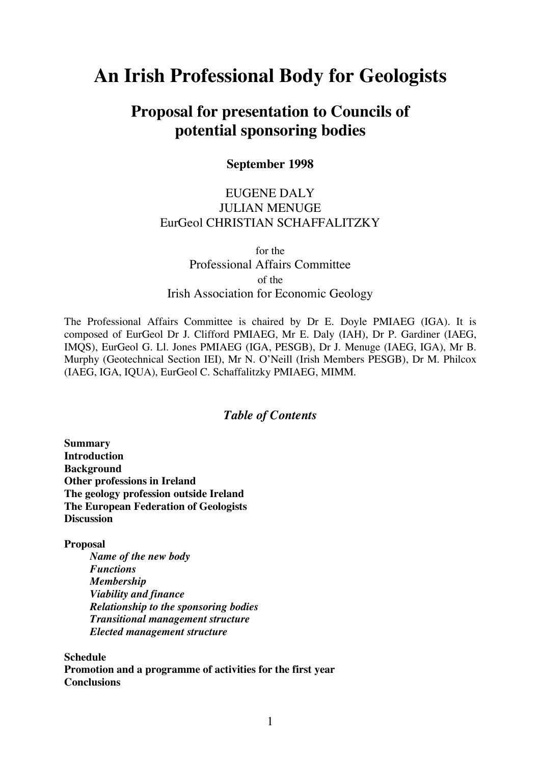# **An Irish Professional Body for Geologists**

# **Proposal for presentation to Councils of potential sponsoring bodies**

**September 1998**

# EUGENE DALY JULIAN MENUGE EurGeol CHRISTIAN SCHAFFALITZKY

for the Professional Affairs Committee of the Irish Association for Economic Geology

The Professional Affairs Committee is chaired by Dr E. Doyle PMIAEG (IGA). It is composed of EurGeol Dr J. Clifford PMIAEG, Mr E. Daly (IAH), Dr P. Gardiner (IAEG, IMQS), EurGeol G. Ll. Jones PMIAEG (IGA, PESGB), Dr J. Menuge (IAEG, IGA), Mr B. Murphy (Geotechnical Section IEI), Mr N. O'Neill (Irish Members PESGB), Dr M. Philcox (IAEG, IGA, IQUA), EurGeol C. Schaffalitzky PMIAEG, MIMM.

# *Table of Contents*

**Summary Introduction Background Other professions in Ireland The geology profession outside Ireland The European Federation of Geologists Discussion**

**Proposal**

*Name of the new body Functions Membership Viability and finance Relationship to the sponsoring bodies Transitional management structure Elected management structure*

**Schedule Promotion and a programme of activities for the first year Conclusions**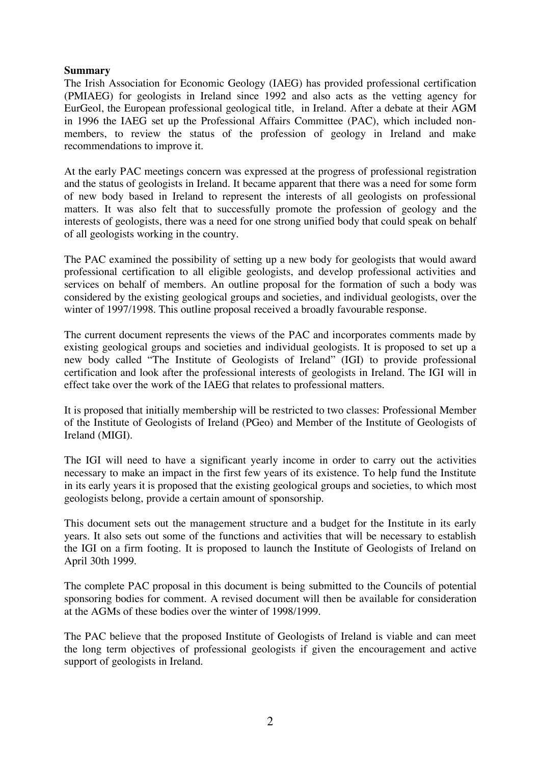#### **Summary**

The Irish Association for Economic Geology (IAEG) has provided professional certification (PMIAEG) for geologists in Ireland since 1992 and also acts as the vetting agency for EurGeol, the European professional geological title, in Ireland. After a debate at their AGM in 1996 the IAEG set up the Professional Affairs Committee (PAC), which included nonmembers, to review the status of the profession of geology in Ireland and make recommendations to improve it.

At the early PAC meetings concern was expressed at the progress of professional registration and the status of geologists in Ireland. It became apparent that there was a need for some form of new body based in Ireland to represent the interests of all geologists on professional matters. It was also felt that to successfully promote the profession of geology and the interests of geologists, there was a need for one strong unified body that could speak on behalf of all geologists working in the country.

The PAC examined the possibility of setting up a new body for geologists that would award professional certification to all eligible geologists, and develop professional activities and services on behalf of members. An outline proposal for the formation of such a body was considered by the existing geological groups and societies, and individual geologists, over the winter of 1997/1998. This outline proposal received a broadly favourable response.

The current document represents the views of the PAC and incorporates comments made by existing geological groups and societies and individual geologists. It is proposed to set up a new body called "The Institute of Geologists of Ireland" (IGI) to provide professional certification and look after the professional interests of geologists in Ireland. The IGI will in effect take over the work of the IAEG that relates to professional matters.

It is proposed that initially membership will be restricted to two classes: Professional Member of the Institute of Geologists of Ireland (PGeo) and Member of the Institute of Geologists of Ireland (MIGI).

The IGI will need to have a significant yearly income in order to carry out the activities necessary to make an impact in the first few years of its existence. To help fund the Institute in its early years it is proposed that the existing geological groups and societies, to which most geologists belong, provide a certain amount of sponsorship.

This document sets out the management structure and a budget for the Institute in its early years. It also sets out some of the functions and activities that will be necessary to establish the IGI on a firm footing. It is proposed to launch the Institute of Geologists of Ireland on April 30th 1999.

The complete PAC proposal in this document is being submitted to the Councils of potential sponsoring bodies for comment. A revised document will then be available for consideration at the AGMs of these bodies over the winter of 1998/1999.

The PAC believe that the proposed Institute of Geologists of Ireland is viable and can meet the long term objectives of professional geologists if given the encouragement and active support of geologists in Ireland.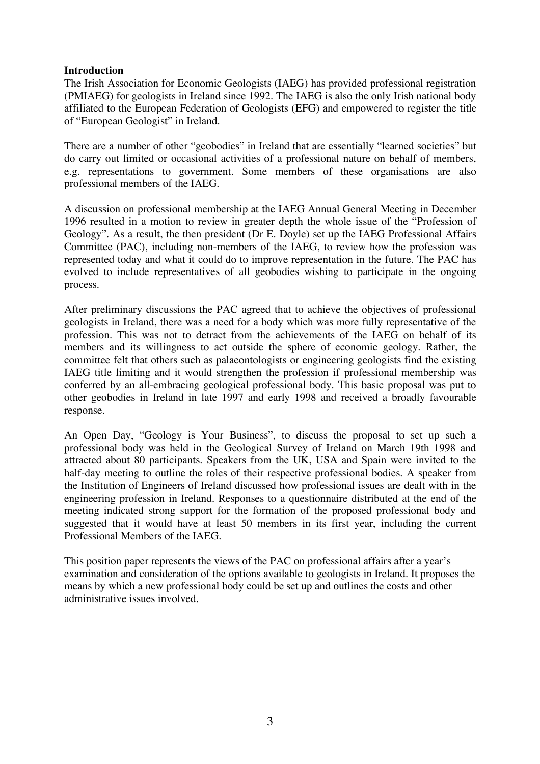#### **Introduction**

The Irish Association for Economic Geologists (IAEG) has provided professional registration (PMIAEG) for geologists in Ireland since 1992. The IAEG is also the only Irish national body affiliated to the European Federation of Geologists (EFG) and empowered to register the title of "European Geologist" in Ireland.

There are a number of other "geobodies" in Ireland that are essentially "learned societies" but do carry out limited or occasional activities of a professional nature on behalf of members, e.g. representations to government. Some members of these organisations are also professional members of the IAEG.

A discussion on professional membership at the IAEG Annual General Meeting in December 1996 resulted in a motion to review in greater depth the whole issue of the "Profession of Geology". As a result, the then president (Dr E. Doyle) set up the IAEG Professional Affairs Committee (PAC), including non-members of the IAEG, to review how the profession was represented today and what it could do to improve representation in the future. The PAC has evolved to include representatives of all geobodies wishing to participate in the ongoing process.

After preliminary discussions the PAC agreed that to achieve the objectives of professional geologists in Ireland, there was a need for a body which was more fully representative of the profession. This was not to detract from the achievements of the IAEG on behalf of its members and its willingness to act outside the sphere of economic geology. Rather, the committee felt that others such as palaeontologists or engineering geologists find the existing IAEG title limiting and it would strengthen the profession if professional membership was conferred by an all-embracing geological professional body. This basic proposal was put to other geobodies in Ireland in late 1997 and early 1998 and received a broadly favourable response.

An Open Day, "Geology is Your Business", to discuss the proposal to set up such a professional body was held in the Geological Survey of Ireland on March 19th 1998 and attracted about 80 participants. Speakers from the UK, USA and Spain were invited to the half-day meeting to outline the roles of their respective professional bodies. A speaker from the Institution of Engineers of Ireland discussed how professional issues are dealt with in the engineering profession in Ireland. Responses to a questionnaire distributed at the end of the meeting indicated strong support for the formation of the proposed professional body and suggested that it would have at least 50 members in its first year, including the current Professional Members of the IAEG.

This position paper represents the views of the PAC on professional affairs after a year's examination and consideration of the options available to geologists in Ireland. It proposes the means by which a new professional body could be set up and outlines the costs and other administrative issues involved.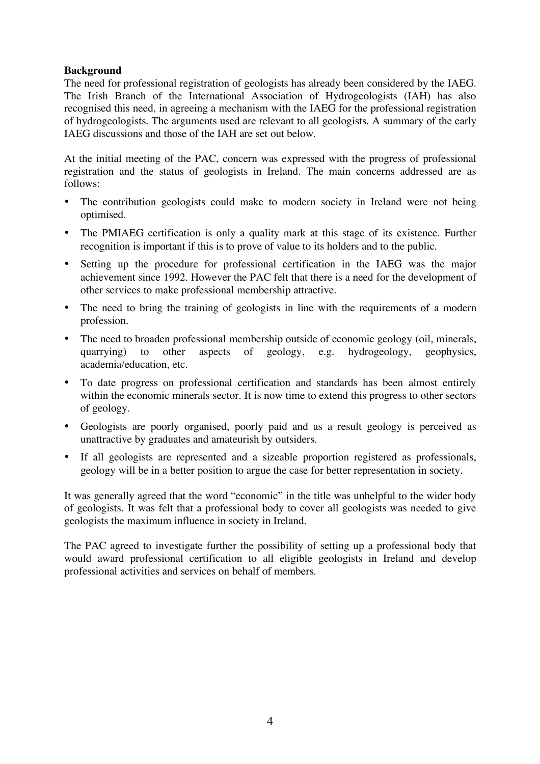# **Background**

The need for professional registration of geologists has already been considered by the IAEG. The Irish Branch of the International Association of Hydrogeologists (IAH) has also recognised this need, in agreeing a mechanism with the IAEG for the professional registration of hydrogeologists. The arguments used are relevant to all geologists. A summary of the early IAEG discussions and those of the IAH are set out below.

At the initial meeting of the PAC, concern was expressed with the progress of professional registration and the status of geologists in Ireland. The main concerns addressed are as follows:

- The contribution geologists could make to modern society in Ireland were not being optimised.
- The PMIAEG certification is only a quality mark at this stage of its existence. Further recognition is important if this is to prove of value to its holders and to the public.
- Setting up the procedure for professional certification in the IAEG was the major achievement since 1992. However the PAC felt that there is a need for the development of other services to make professional membership attractive.
- The need to bring the training of geologists in line with the requirements of a modern profession.
- The need to broaden professional membership outside of economic geology (oil, minerals, quarrying) to other aspects of geology, e.g. hydrogeology, geophysics, academia/education, etc.
- To date progress on professional certification and standards has been almost entirely within the economic minerals sector. It is now time to extend this progress to other sectors of geology.
- Geologists are poorly organised, poorly paid and as a result geology is perceived as unattractive by graduates and amateurish by outsiders.
- If all geologists are represented and a sizeable proportion registered as professionals, geology will be in a better position to argue the case for better representation in society.

It was generally agreed that the word "economic" in the title was unhelpful to the wider body of geologists. It was felt that a professional body to cover all geologists was needed to give geologists the maximum influence in society in Ireland.

The PAC agreed to investigate further the possibility of setting up a professional body that would award professional certification to all eligible geologists in Ireland and develop professional activities and services on behalf of members.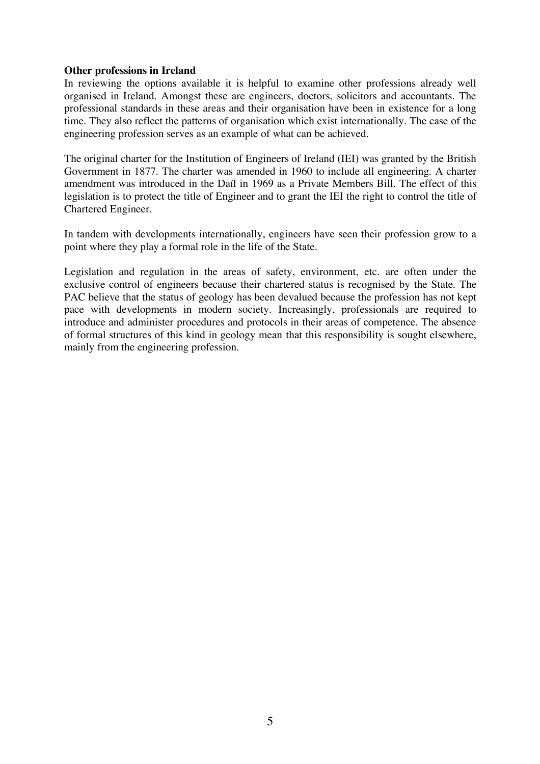#### **Other professions in Ireland**

In reviewing the options available it is helpful to examine other professions already well organised in Ireland. Amongst these are engineers, doctors, solicitors and accountants. The professional standards in these areas and their organisation have been in existence for a long time. They also reflect the patterns of organisation which exist internationally. The case of the engineering profession serves as an example of what can be achieved.

The original charter for the Institution of Engineers of Ireland (IEI) was granted by the British Government in 1877. The charter was amended in 1960 to include all engineering. A charter amendment was introduced in the Daíl in 1969 as a Private Members Bill. The effect of this legislation is to protect the title of Engineer and to grant the IEI the right to control the title of Chartered Engineer.

In tandem with developments internationally, engineers have seen their profession grow to a point where they play a formal role in the life of the State.

Legislation and regulation in the areas of safety, environment, etc. are often under the exclusive control of engineers because their chartered status is recognised by the State. The PAC believe that the status of geology has been devalued because the profession has not kept pace with developments in modern society. Increasingly, professionals are required to introduce and administer procedures and protocols in their areas of competence. The absence of formal structures of this kind in geology mean that this responsibility is sought elsewhere, mainly from the engineering profession.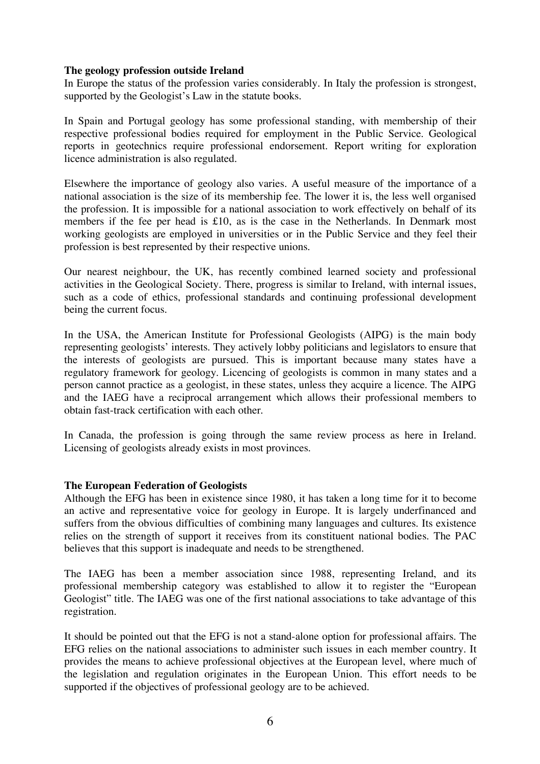#### **The geology profession outside Ireland**

In Europe the status of the profession varies considerably. In Italy the profession is strongest, supported by the Geologist's Law in the statute books.

In Spain and Portugal geology has some professional standing, with membership of their respective professional bodies required for employment in the Public Service. Geological reports in geotechnics require professional endorsement. Report writing for exploration licence administration is also regulated.

Elsewhere the importance of geology also varies. A useful measure of the importance of a national association is the size of its membership fee. The lower it is, the less well organised the profession. It is impossible for a national association to work effectively on behalf of its members if the fee per head is £10, as is the case in the Netherlands. In Denmark most working geologists are employed in universities or in the Public Service and they feel their profession is best represented by their respective unions.

Our nearest neighbour, the UK, has recently combined learned society and professional activities in the Geological Society. There, progress is similar to Ireland, with internal issues, such as a code of ethics, professional standards and continuing professional development being the current focus.

In the USA, the American Institute for Professional Geologists (AIPG) is the main body representing geologists' interests. They actively lobby politicians and legislators to ensure that the interests of geologists are pursued. This is important because many states have a regulatory framework for geology. Licencing of geologists is common in many states and a person cannot practice as a geologist, in these states, unless they acquire a licence. The AIPG and the IAEG have a reciprocal arrangement which allows their professional members to obtain fast-track certification with each other.

In Canada, the profession is going through the same review process as here in Ireland. Licensing of geologists already exists in most provinces.

#### **The European Federation of Geologists**

Although the EFG has been in existence since 1980, it has taken a long time for it to become an active and representative voice for geology in Europe. It is largely underfinanced and suffers from the obvious difficulties of combining many languages and cultures. Its existence relies on the strength of support it receives from its constituent national bodies. The PAC believes that this support is inadequate and needs to be strengthened.

The IAEG has been a member association since 1988, representing Ireland, and its professional membership category was established to allow it to register the "European Geologist" title. The IAEG was one of the first national associations to take advantage of this registration.

It should be pointed out that the EFG is not a stand-alone option for professional affairs. The EFG relies on the national associations to administer such issues in each member country. It provides the means to achieve professional objectives at the European level, where much of the legislation and regulation originates in the European Union. This effort needs to be supported if the objectives of professional geology are to be achieved.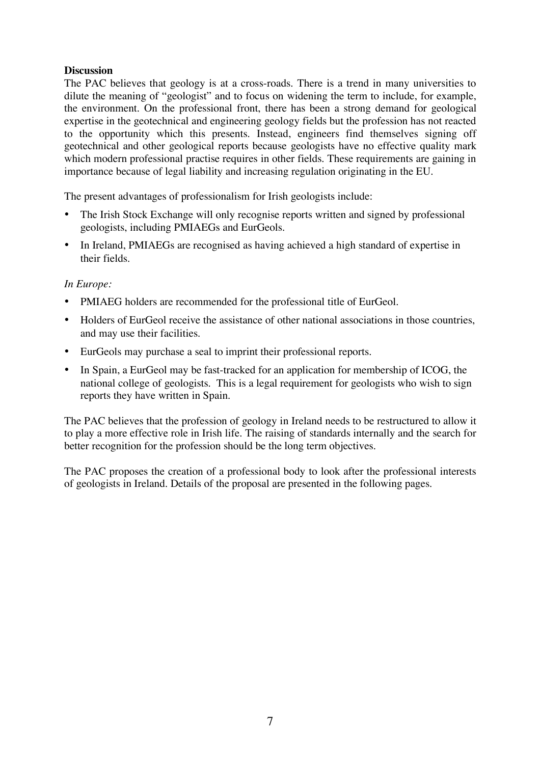# **Discussion**

The PAC believes that geology is at a cross-roads. There is a trend in many universities to dilute the meaning of "geologist" and to focus on widening the term to include, for example, the environment. On the professional front, there has been a strong demand for geological expertise in the geotechnical and engineering geology fields but the profession has not reacted to the opportunity which this presents. Instead, engineers find themselves signing off geotechnical and other geological reports because geologists have no effective quality mark which modern professional practise requires in other fields. These requirements are gaining in importance because of legal liability and increasing regulation originating in the EU.

The present advantages of professionalism for Irish geologists include:

- The Irish Stock Exchange will only recognise reports written and signed by professional geologists, including PMIAEGs and EurGeols.
- In Ireland, PMIAEGs are recognised as having achieved a high standard of expertise in their fields.

# *In Europe:*

- PMIAEG holders are recommended for the professional title of EurGeol.
- Holders of EurGeol receive the assistance of other national associations in those countries, and may use their facilities.
- EurGeols may purchase a seal to imprint their professional reports.
- In Spain, a EurGeol may be fast-tracked for an application for membership of ICOG, the national college of geologists. This is a legal requirement for geologists who wish to sign reports they have written in Spain.

The PAC believes that the profession of geology in Ireland needs to be restructured to allow it to play a more effective role in Irish life. The raising of standards internally and the search for better recognition for the profession should be the long term objectives.

The PAC proposes the creation of a professional body to look after the professional interests of geologists in Ireland. Details of the proposal are presented in the following pages.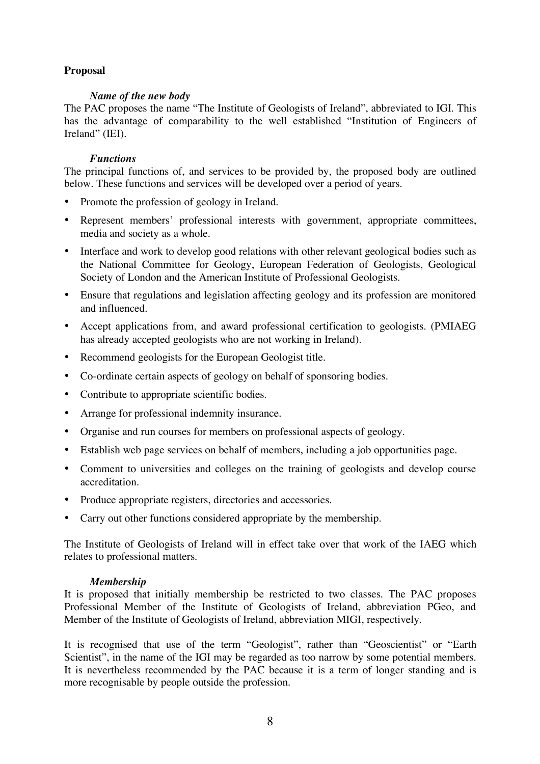# **Proposal**

### *Name of the new body*

The PAC proposes the name "The Institute of Geologists of Ireland", abbreviated to IGI. This has the advantage of comparability to the well established "Institution of Engineers of Ireland" (IEI).

#### *Functions*

The principal functions of, and services to be provided by, the proposed body are outlined below. These functions and services will be developed over a period of years.

- Promote the profession of geology in Ireland.
- Represent members' professional interests with government, appropriate committees, media and society as a whole.
- Interface and work to develop good relations with other relevant geological bodies such as the National Committee for Geology, European Federation of Geologists, Geological Society of London and the American Institute of Professional Geologists.
- Ensure that regulations and legislation affecting geology and its profession are monitored and influenced.
- Accept applications from, and award professional certification to geologists. (PMIAEG has already accepted geologists who are not working in Ireland).
- Recommend geologists for the European Geologist title.
- Co-ordinate certain aspects of geology on behalf of sponsoring bodies.
- Contribute to appropriate scientific bodies.
- Arrange for professional indemnity insurance.
- Organise and run courses for members on professional aspects of geology.
- Establish web page services on behalf of members, including a job opportunities page.
- Comment to universities and colleges on the training of geologists and develop course accreditation.
- Produce appropriate registers, directories and accessories.
- Carry out other functions considered appropriate by the membership.

The Institute of Geologists of Ireland will in effect take over that work of the IAEG which relates to professional matters.

#### *Membership*

It is proposed that initially membership be restricted to two classes. The PAC proposes Professional Member of the Institute of Geologists of Ireland, abbreviation PGeo, and Member of the Institute of Geologists of Ireland, abbreviation MIGI, respectively.

It is recognised that use of the term "Geologist", rather than "Geoscientist" or "Earth Scientist", in the name of the IGI may be regarded as too narrow by some potential members. It is nevertheless recommended by the PAC because it is a term of longer standing and is more recognisable by people outside the profession.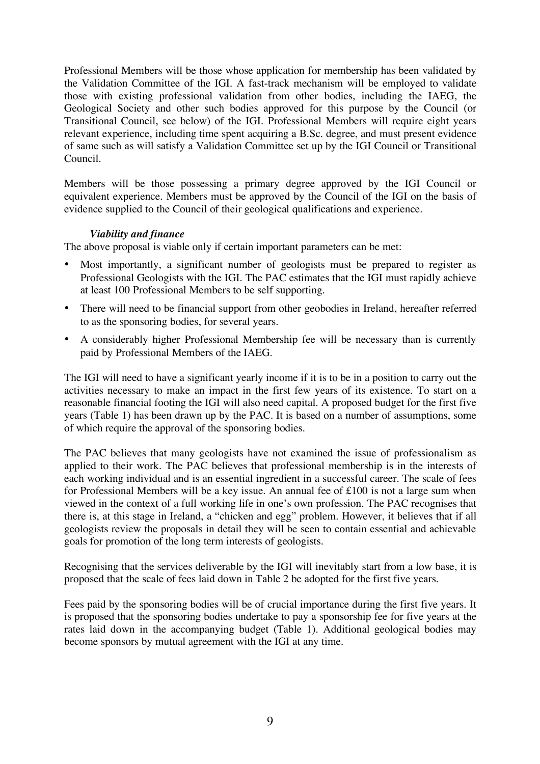Professional Members will be those whose application for membership has been validated by the Validation Committee of the IGI. A fast-track mechanism will be employed to validate those with existing professional validation from other bodies, including the IAEG, the Geological Society and other such bodies approved for this purpose by the Council (or Transitional Council, see below) of the IGI. Professional Members will require eight years relevant experience, including time spent acquiring a B.Sc. degree, and must present evidence of same such as will satisfy a Validation Committee set up by the IGI Council or Transitional Council.

Members will be those possessing a primary degree approved by the IGI Council or equivalent experience. Members must be approved by the Council of the IGI on the basis of evidence supplied to the Council of their geological qualifications and experience.

# *Viability and finance*

The above proposal is viable only if certain important parameters can be met:

- Most importantly, a significant number of geologists must be prepared to register as Professional Geologists with the IGI. The PAC estimates that the IGI must rapidly achieve at least 100 Professional Members to be self supporting.
- There will need to be financial support from other geobodies in Ireland, hereafter referred to as the sponsoring bodies, for several years.
- A considerably higher Professional Membership fee will be necessary than is currently paid by Professional Members of the IAEG.

The IGI will need to have a significant yearly income if it is to be in a position to carry out the activities necessary to make an impact in the first few years of its existence. To start on a reasonable financial footing the IGI will also need capital. A proposed budget for the first five years (Table 1) has been drawn up by the PAC. It is based on a number of assumptions, some of which require the approval of the sponsoring bodies.

The PAC believes that many geologists have not examined the issue of professionalism as applied to their work. The PAC believes that professional membership is in the interests of each working individual and is an essential ingredient in a successful career. The scale of fees for Professional Members will be a key issue. An annual fee of £100 is not a large sum when viewed in the context of a full working life in one's own profession. The PAC recognises that there is, at this stage in Ireland, a "chicken and egg" problem. However, it believes that if all geologists review the proposals in detail they will be seen to contain essential and achievable goals for promotion of the long term interests of geologists.

Recognising that the services deliverable by the IGI will inevitably start from a low base, it is proposed that the scale of fees laid down in Table 2 be adopted for the first five years.

Fees paid by the sponsoring bodies will be of crucial importance during the first five years. It is proposed that the sponsoring bodies undertake to pay a sponsorship fee for five years at the rates laid down in the accompanying budget (Table 1). Additional geological bodies may become sponsors by mutual agreement with the IGI at any time.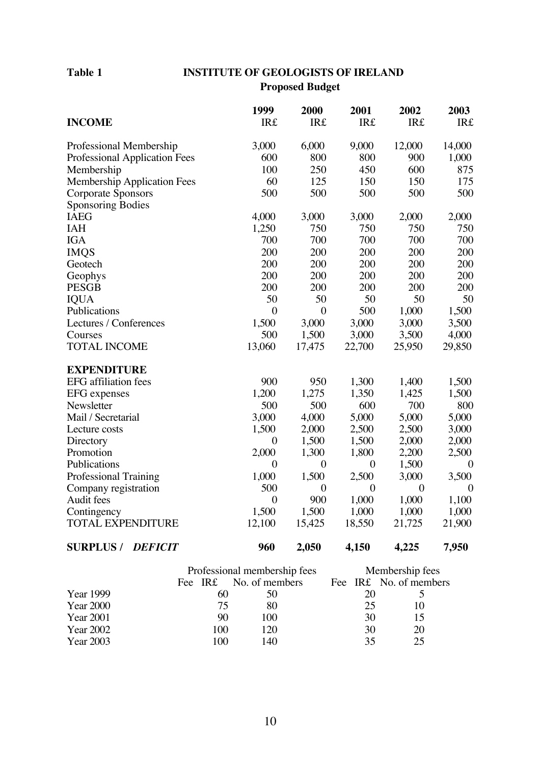# **Table 1 INSTITUTE OF GEOLOGISTS OF IRELAND**

**Proposed Budget**

|                                      | 1999             | 2000             | 2001             | 2002           | 2003             |
|--------------------------------------|------------------|------------------|------------------|----------------|------------------|
| <b>INCOME</b>                        | <b>IR£</b>       | <b>IR£</b>       | <b>IR£</b>       | <b>IR£</b>     | <b>IR£</b>       |
| Professional Membership              | 3,000            | 6,000            | 9,000            | 12,000         | 14,000           |
| <b>Professional Application Fees</b> | 600              | 800              | 800              | 900            | 1,000            |
| Membership                           | 100              | 250              | 450              | 600            | 875              |
| <b>Membership Application Fees</b>   | 60               | 125              | 150              | 150            | 175              |
| Corporate Sponsors                   | 500              | 500              | 500              | 500            | 500              |
| <b>Sponsoring Bodies</b>             |                  |                  |                  |                |                  |
| <b>IAEG</b>                          | 4,000            | 3,000            | 3,000            | 2,000          | 2,000            |
| <b>IAH</b>                           | 1,250            | 750              | 750              | 750            | 750              |
| <b>IGA</b>                           | 700              | 700              | 700              | 700            | 700              |
| <b>IMQS</b>                          | 200              | 200              | 200              | 200            | 200              |
| Geotech                              | 200              | 200              | 200              | 200            | 200              |
| Geophys                              | 200              | 200              | 200              | 200            | 200              |
| <b>PESGB</b>                         | 200              | 200              | 200              | 200            | 200              |
| <b>IQUA</b>                          | 50               | 50               | 50               | 50             | 50               |
| Publications                         | $\overline{0}$   | $\boldsymbol{0}$ | 500              | 1,000          | 1,500            |
| Lectures / Conferences               | 1,500            | 3,000            | 3,000            | 3,000          | 3,500            |
| Courses                              | 500              | 1,500            | 3,000            | 3,500          | 4,000            |
| <b>TOTAL INCOME</b>                  | 13,060           | 17,475           | 22,700           | 25,950         | 29,850           |
| <b>EXPENDITURE</b>                   |                  |                  |                  |                |                  |
| <b>EFG</b> affiliation fees          | 900              | 950              | 1,300            | 1,400          | 1,500            |
| <b>EFG</b> expenses                  | 1,200            | 1,275            | 1,350            | 1,425          | 1,500            |
| Newsletter                           | 500              | 500              | 600              | 700            | 800              |
| Mail / Secretarial                   | 3,000            | 4,000            | 5,000            | 5,000          | 5,000            |
| Lecture costs                        | 1,500            | 2,000            | 2,500            | 2,500          | 3,000            |
| Directory                            | $\boldsymbol{0}$ | 1,500            | 1,500            | 2,000          | 2,000            |
| Promotion                            | 2,000            | 1,300            | 1,800            | 2,200          | 2,500            |
| Publications                         | $\boldsymbol{0}$ | $\boldsymbol{0}$ | $\boldsymbol{0}$ | 1,500          | $\boldsymbol{0}$ |
| Professional Training                | 1,000            | 1,500            | 2,500            | 3,000          | 3,500            |
| Company registration                 | 500              | $\overline{0}$   | $\overline{0}$   | $\overline{0}$ | $\boldsymbol{0}$ |
| Audit fees                           | $\boldsymbol{0}$ | 900              | 1,000            | 1,000          | 1,100            |
| Contingency                          | 1,500            | 1,500            | 1,000            | 1,000          | 1,000            |
| <b>TOTAL EXPENDITURE</b>             | 12,100           | 15,425           | 18,550           | 21,725         | 21,900           |
| <b>SURPLUS/</b><br><b>DEFICIT</b>    | 960              | 2,050            | 4,150            | 4,225          | 7,950            |

|                  | Professional membership fees |                        | Membership fees |                        |  |
|------------------|------------------------------|------------------------|-----------------|------------------------|--|
|                  |                              | Fee IR£ No. of members |                 | Fee IR£ No. of members |  |
| Year 1999        | 60                           | 50                     | 20              |                        |  |
| <b>Year 2000</b> | 75                           | 80                     | 25              | 10                     |  |
| Year 2001        | 90                           | 100                    | 30              | 15                     |  |
| Year 2002        | 100                          | 120                    | 30              | 20                     |  |
| Year 2003        | 100                          | 140                    | 35              | 25                     |  |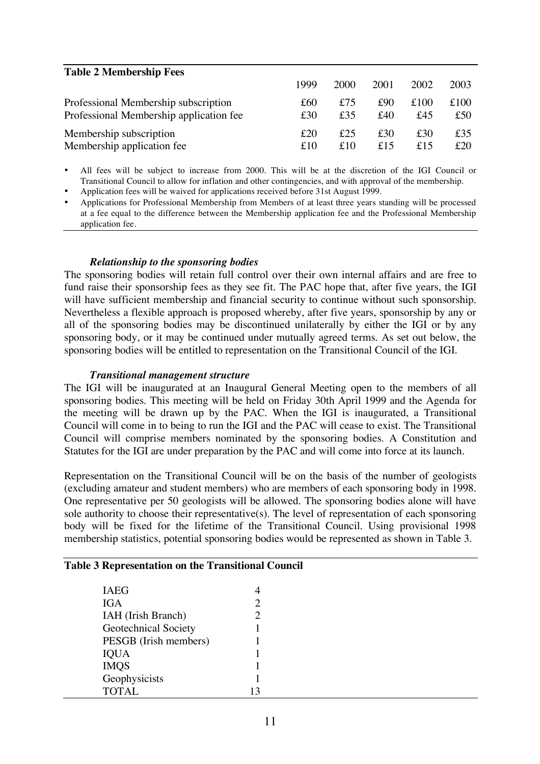| <b>Table 2 Membership Fees</b>          |      |      |      |      |      |
|-----------------------------------------|------|------|------|------|------|
|                                         | 1999 | 2000 | 2001 | 2002 | 2003 |
| Professional Membership subscription    | £60  | £75  | £90  | £100 | £100 |
| Professional Membership application fee | £30  | £35  | £40  | £45  | £50  |
| Membership subscription                 | £20  | £25  | £30  | £30  | £35  |
| Membership application fee              | £10  | £10  | f15  | f15  | £20  |

• All fees will be subject to increase from 2000. This will be at the discretion of the IGI Council or Transitional Council to allow for inflation and other contingencies, and with approval of the membership.

• Application fees will be waived for applications received before 31st August 1999.

• Applications for Professional Membership from Members of at least three years standing will be processed at a fee equal to the difference between the Membership application fee and the Professional Membership application fee.

#### *Relationship to the sponsoring bodies*

The sponsoring bodies will retain full control over their own internal affairs and are free to fund raise their sponsorship fees as they see fit. The PAC hope that, after five years, the IGI will have sufficient membership and financial security to continue without such sponsorship. Nevertheless a flexible approach is proposed whereby, after five years, sponsorship by any or all of the sponsoring bodies may be discontinued unilaterally by either the IGI or by any sponsoring body, or it may be continued under mutually agreed terms. As set out below, the sponsoring bodies will be entitled to representation on the Transitional Council of the IGI.

#### *Transitional management structure*

The IGI will be inaugurated at an Inaugural General Meeting open to the members of all sponsoring bodies. This meeting will be held on Friday 30th April 1999 and the Agenda for the meeting will be drawn up by the PAC. When the IGI is inaugurated, a Transitional Council will come in to being to run the IGI and the PAC will cease to exist. The Transitional Council will comprise members nominated by the sponsoring bodies. A Constitution and Statutes for the IGI are under preparation by the PAC and will come into force at its launch.

Representation on the Transitional Council will be on the basis of the number of geologists (excluding amateur and student members) who are members of each sponsoring body in 1998. One representative per 50 geologists will be allowed. The sponsoring bodies alone will have sole authority to choose their representative(s). The level of representation of each sponsoring body will be fixed for the lifetime of the Transitional Council. Using provisional 1998 membership statistics, potential sponsoring bodies would be represented as shown in Table 3.

| IAEG                  |               |  |
|-----------------------|---------------|--|
| IGA.                  | $\mathcal{D}$ |  |
| IAH (Irish Branch)    |               |  |
| Geotechnical Society  |               |  |
| PESGB (Irish members) |               |  |
|                       |               |  |

IMQS 1 Geophysicists 1 TOTAL 13

#### **Table 3 Representation on the Transitional Council**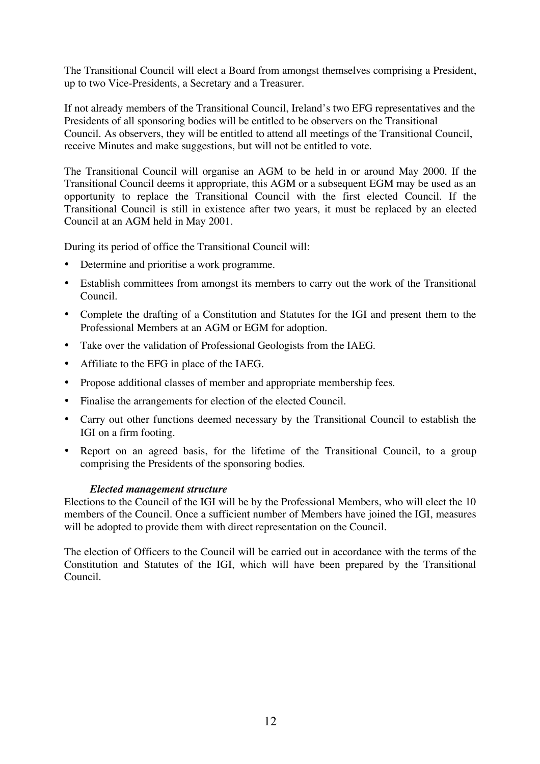The Transitional Council will elect a Board from amongst themselves comprising a President, up to two Vice-Presidents, a Secretary and a Treasurer.

If not already members of the Transitional Council, Ireland's two EFG representatives and the Presidents of all sponsoring bodies will be entitled to be observers on the Transitional Council. As observers, they will be entitled to attend all meetings of the Transitional Council, receive Minutes and make suggestions, but will not be entitled to vote.

The Transitional Council will organise an AGM to be held in or around May 2000. If the Transitional Council deems it appropriate, this AGM or a subsequent EGM may be used as an opportunity to replace the Transitional Council with the first elected Council. If the Transitional Council is still in existence after two years, it must be replaced by an elected Council at an AGM held in May 2001.

During its period of office the Transitional Council will:

- Determine and prioritise a work programme.
- Establish committees from amongst its members to carry out the work of the Transitional Council.
- Complete the drafting of a Constitution and Statutes for the IGI and present them to the Professional Members at an AGM or EGM for adoption.
- Take over the validation of Professional Geologists from the IAEG.
- Affiliate to the EFG in place of the IAEG.
- Propose additional classes of member and appropriate membership fees.
- Finalise the arrangements for election of the elected Council.
- Carry out other functions deemed necessary by the Transitional Council to establish the IGI on a firm footing.
- Report on an agreed basis, for the lifetime of the Transitional Council, to a group comprising the Presidents of the sponsoring bodies.

#### *Elected management structure*

Elections to the Council of the IGI will be by the Professional Members, who will elect the 10 members of the Council. Once a sufficient number of Members have joined the IGI, measures will be adopted to provide them with direct representation on the Council.

The election of Officers to the Council will be carried out in accordance with the terms of the Constitution and Statutes of the IGI, which will have been prepared by the Transitional Council.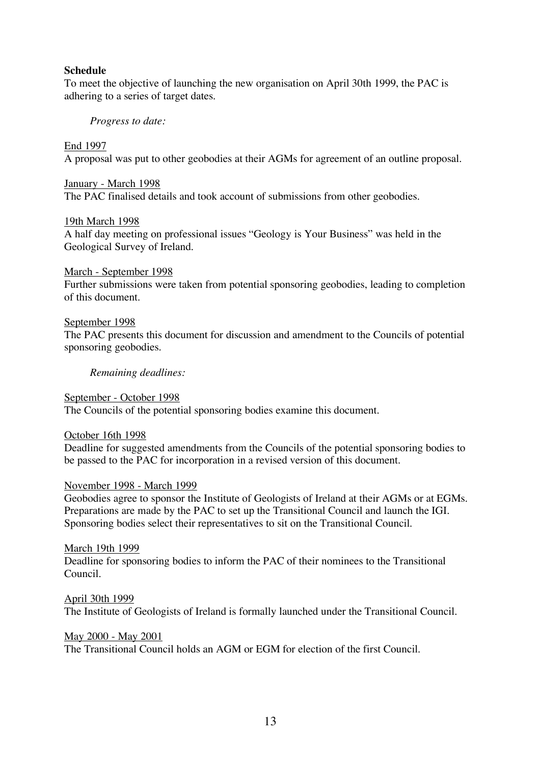#### **Schedule**

To meet the objective of launching the new organisation on April 30th 1999, the PAC is adhering to a series of target dates.

#### *Progress to date:*

#### End 1997

A proposal was put to other geobodies at their AGMs for agreement of an outline proposal.

#### January - March 1998

The PAC finalised details and took account of submissions from other geobodies.

#### 19th March 1998

A half day meeting on professional issues "Geology is Your Business" was held in the Geological Survey of Ireland.

#### March - September 1998

Further submissions were taken from potential sponsoring geobodies, leading to completion of this document.

#### September 1998

The PAC presents this document for discussion and amendment to the Councils of potential sponsoring geobodies.

#### *Remaining deadlines:*

# September - October 1998

The Councils of the potential sponsoring bodies examine this document.

#### October 16th 1998

Deadline for suggested amendments from the Councils of the potential sponsoring bodies to be passed to the PAC for incorporation in a revised version of this document.

#### November 1998 - March 1999

Geobodies agree to sponsor the Institute of Geologists of Ireland at their AGMs or at EGMs. Preparations are made by the PAC to set up the Transitional Council and launch the IGI. Sponsoring bodies select their representatives to sit on the Transitional Council.

#### March 19th 1999

Deadline for sponsoring bodies to inform the PAC of their nominees to the Transitional Council.

#### April 30th 1999

The Institute of Geologists of Ireland is formally launched under the Transitional Council.

#### May 2000 - May 2001

The Transitional Council holds an AGM or EGM for election of the first Council.